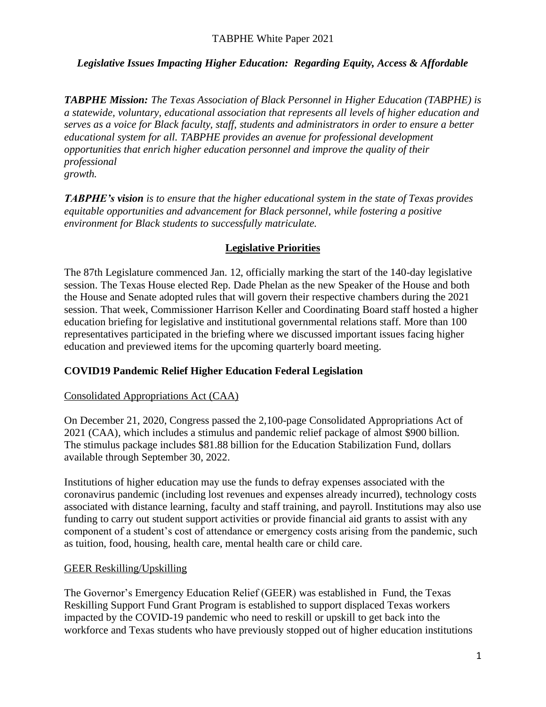*TABPHE Mission: The Texas Association of Black Personnel in Higher Education (TABPHE) is a statewide, voluntary, educational association that represents all levels of higher education and serves as a voice for Black faculty, staff, students and administrators in order to ensure a better educational system for all. TABPHE provides an avenue for professional development opportunities that enrich higher education personnel and improve the quality of their professional growth.*

*TABPHE's vision is to ensure that the higher educational system in the state of Texas provides equitable opportunities and advancement for Black personnel, while fostering a positive environment for Black students to successfully matriculate.*

### **Legislative Priorities**

The 87th Legislature commenced Jan. 12, officially marking the start of the 140-day legislative session. The Texas House elected Rep. Dade Phelan as the new Speaker of the House and both the House and Senate adopted rules that will govern their respective chambers during the 2021 session. That week, Commissioner Harrison Keller and Coordinating Board staff hosted a higher education briefing for legislative and institutional governmental relations staff. More than 100 representatives participated in the briefing where we discussed important issues facing higher education and previewed items for the upcoming quarterly board meeting.

# **COVID19 Pandemic Relief Higher Education Federal Legislation**

### Consolidated Appropriations Act (CAA)

On December 21, 2020, Congress passed the 2,100-page Consolidated Appropriations Act of 2021 (CAA), which includes a stimulus and pandemic relief package of almost \$900 billion. The stimulus package includes \$81.88 billion for the Education Stabilization Fund, dollars available through September 30, 2022.

Institutions of higher education may use the funds to defray expenses associated with the coronavirus pandemic (including lost revenues and expenses already incurred), technology costs associated with distance learning, faculty and staff training, and payroll. Institutions may also use funding to carry out student support activities or provide financial aid grants to assist with any component of a student's cost of attendance or emergency costs arising from the pandemic, such as tuition, food, housing, health care, mental health care or child care.

### GEER Reskilling/Upskilling

The Governor's Emergency Education Relief (GEER) was established in Fund, the Texas Reskilling Support Fund Grant Program is established to support displaced Texas workers impacted by the COVID-19 pandemic who need to reskill or upskill to get back into the workforce and Texas students who have previously stopped out of higher education institutions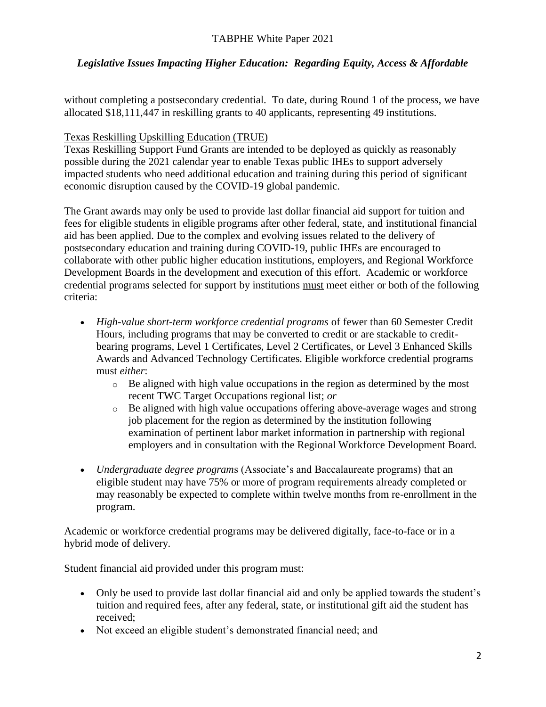without completing a postsecondary credential. To date, during Round 1 of the process, we have allocated \$18,111,447 in reskilling grants to 40 applicants, representing 49 institutions.

## Texas Reskilling Upskilling Education (TRUE)

Texas Reskilling Support Fund Grants are intended to be deployed as quickly as reasonably possible during the 2021 calendar year to enable Texas public IHEs to support adversely impacted students who need additional education and training during this period of significant economic disruption caused by the COVID-19 global pandemic.

The Grant awards may only be used to provide last dollar financial aid support for tuition and fees for eligible students in eligible programs after other federal, state, and institutional financial aid has been applied. Due to the complex and evolving issues related to the delivery of postsecondary education and training during COVID-19, public IHEs are encouraged to collaborate with other public higher education institutions, employers, and Regional Workforce Development Boards in the development and execution of this effort. Academic or workforce credential programs selected for support by institutions must meet either or both of the following criteria:

- *High-value short-term workforce credential programs* of fewer than 60 Semester Credit Hours, including programs that may be converted to credit or are stackable to creditbearing programs, Level 1 Certificates, Level 2 Certificates, or Level 3 Enhanced Skills Awards and Advanced Technology Certificates. Eligible workforce credential programs must *either*:
	- o Be aligned with high value occupations in the region as determined by the most recent TWC Target Occupations regional list; *or*
	- o Be aligned with high value occupations offering above-average wages and strong job placement for the region as determined by the institution following examination of pertinent labor market information in partnership with regional employers and in consultation with the Regional Workforce Development Board.
- *Undergraduate degree program*s (Associate's and Baccalaureate programs) that an eligible student may have 75% or more of program requirements already completed or may reasonably be expected to complete within twelve months from re-enrollment in the program.

Academic or workforce credential programs may be delivered digitally, face-to-face or in a hybrid mode of delivery.

Student financial aid provided under this program must:

- Only be used to provide last dollar financial aid and only be applied towards the student's tuition and required fees, after any federal, state, or institutional gift aid the student has received;
- Not exceed an eligible student's demonstrated financial need; and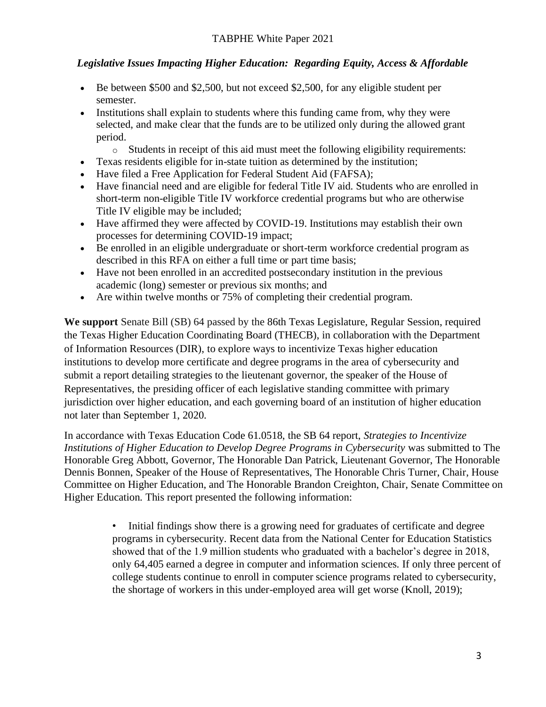- Be between \$500 and \$2,500, but not exceed \$2,500, for any eligible student per semester.
- Institutions shall explain to students where this funding came from, why they were selected, and make clear that the funds are to be utilized only during the allowed grant period.
	- $\circ$  Students in receipt of this aid must meet the following eligibility requirements:
- Texas residents eligible for in-state tuition as determined by the institution;
- Have filed a Free Application for Federal Student Aid (FAFSA);
- Have financial need and are eligible for federal Title IV aid. Students who are enrolled in short-term non-eligible Title IV workforce credential programs but who are otherwise Title IV eligible may be included;
- Have affirmed they were affected by COVID-19. Institutions may establish their own processes for determining COVID-19 impact;
- Be enrolled in an eligible undergraduate or short-term workforce credential program as described in this RFA on either a full time or part time basis;
- Have not been enrolled in an accredited postsecondary institution in the previous academic (long) semester or previous six months; and
- Are within twelve months or 75% of completing their credential program.

**We support** Senate Bill (SB) 64 passed by the 86th Texas Legislature, Regular Session, required the Texas Higher Education Coordinating Board (THECB), in collaboration with the Department of Information Resources (DIR), to explore ways to incentivize Texas higher education institutions to develop more certificate and degree programs in the area of cybersecurity and submit a report detailing strategies to the lieutenant governor, the speaker of the House of Representatives, the presiding officer of each legislative standing committee with primary jurisdiction over higher education, and each governing board of an institution of higher education not later than September 1, 2020.

In accordance with Texas Education Code 61.0518, the SB 64 report, *Strategies to Incentivize Institutions of Higher Education to Develop Degree Programs in Cybersecurity was submitted to The* Honorable Greg Abbott, Governor, The Honorable Dan Patrick, Lieutenant Governor, The Honorable Dennis Bonnen, Speaker of the House of Representatives, The Honorable Chris Turner, Chair, House Committee on Higher Education, and The Honorable Brandon Creighton, Chair, Senate Committee on Higher Education. This report presented the following information:

> • Initial findings show there is a growing need for graduates of certificate and degree programs in cybersecurity. Recent data from the National Center for Education Statistics showed that of the 1.9 million students who graduated with a bachelor's degree in 2018, only 64,405 earned a degree in computer and information sciences. If only three percent of college students continue to enroll in computer science programs related to cybersecurity, the shortage of workers in this under-employed area will get worse (Knoll, 2019);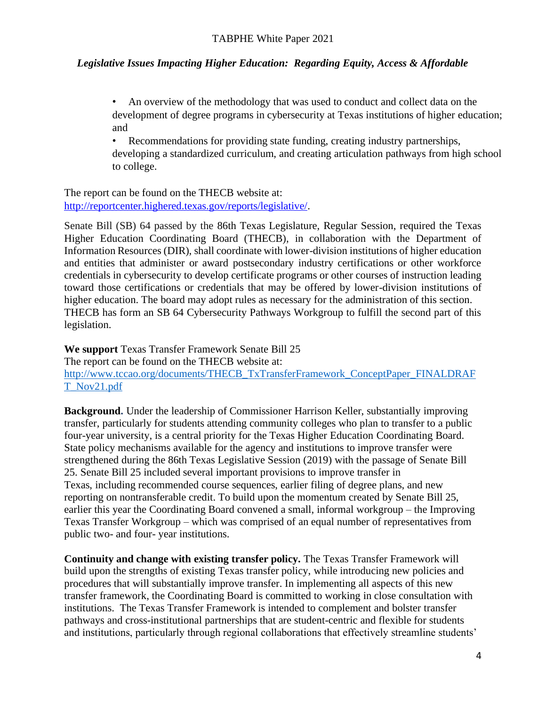• An overview of the methodology that was used to conduct and collect data on the development of degree programs in cybersecurity at Texas institutions of higher education; and

• Recommendations for providing state funding, creating industry partnerships, developing a standardized curriculum, and creating articulation pathways from high school to college.

The report can be found on the THECB website at: [http://reportcenter.highered.texas.gov/reports/legislative/.](http://reportcenter.highered.texas.gov/reports/legislative/)

Senate Bill (SB) 64 passed by the 86th Texas Legislature, Regular Session, required the Texas Higher Education Coordinating Board (THECB), in collaboration with the Department of Information Resources (DIR), shall coordinate with lower-division institutions of higher education and entities that administer or award postsecondary industry certifications or other workforce credentials in cybersecurity to develop certificate programs or other courses of instruction leading toward those certifications or credentials that may be offered by lower-division institutions of higher education. The board may adopt rules as necessary for the administration of this section. THECB has form an SB 64 Cybersecurity Pathways Workgroup to fulfill the second part of this legislation.

**We support** Texas Transfer Framework Senate Bill 25 The report can be found on the THECB website at: [http://www.tccao.org/documents/THECB\\_TxTransferFramework\\_ConceptPaper\\_FINALDRAF](http://www.tccao.org/documents/THECB_TxTransferFramework_ConceptPaper_FINALDRAFT_Nov21.pdf) [T\\_Nov21.pdf](http://www.tccao.org/documents/THECB_TxTransferFramework_ConceptPaper_FINALDRAFT_Nov21.pdf)

**Background.** Under the leadership of Commissioner Harrison Keller, substantially improving transfer, particularly for students attending community colleges who plan to transfer to a public four-year university, is a central priority for the Texas Higher Education Coordinating Board. State policy mechanisms available for the agency and institutions to improve transfer were strengthened during the 86th Texas Legislative Session (2019) with the passage of Senate Bill 25. Senate Bill 25 included several important provisions to improve transfer in Texas, including recommended course sequences, earlier filing of degree plans, and new reporting on nontransferable credit. To build upon the momentum created by Senate Bill 25, earlier this year the Coordinating Board convened a small, informal workgroup – the Improving Texas Transfer Workgroup – which was comprised of an equal number of representatives from public two- and four- year institutions.

**Continuity and change with existing transfer policy.** The Texas Transfer Framework will build upon the strengths of existing Texas transfer policy, while introducing new policies and procedures that will substantially improve transfer. In implementing all aspects of this new transfer framework, the Coordinating Board is committed to working in close consultation with institutions. The Texas Transfer Framework is intended to complement and bolster transfer pathways and cross-institutional partnerships that are student-centric and flexible for students and institutions, particularly through regional collaborations that effectively streamline students'